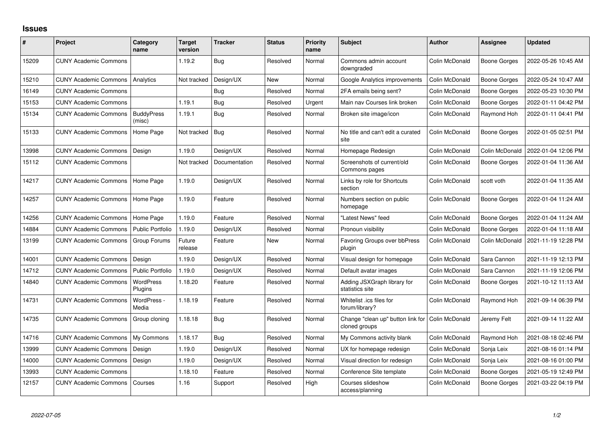## **Issues**

| #     | Project                      | Category<br>name            | <b>Target</b><br>version | <b>Tracker</b> | <b>Status</b> | Priority<br>name | <b>Subject</b>                                     | <b>Author</b>  | Assignee            | <b>Updated</b>      |
|-------|------------------------------|-----------------------------|--------------------------|----------------|---------------|------------------|----------------------------------------------------|----------------|---------------------|---------------------|
| 15209 | <b>CUNY Academic Commons</b> |                             | 1.19.2                   | Bug            | Resolved      | Normal           | Commons admin account<br>downgraded                | Colin McDonald | Boone Gorges        | 2022-05-26 10:45 AM |
| 15210 | <b>CUNY Academic Commons</b> | Analytics                   | Not tracked              | Design/UX      | <b>New</b>    | Normal           | Google Analytics improvements                      | Colin McDonald | <b>Boone Gorges</b> | 2022-05-24 10:47 AM |
| 16149 | <b>CUNY Academic Commons</b> |                             |                          | Bug            | Resolved      | Normal           | 2FA emails being sent?                             | Colin McDonald | <b>Boone Gorges</b> | 2022-05-23 10:30 PM |
| 15153 | <b>CUNY Academic Commons</b> |                             | 1.19.1                   | Bug            | Resolved      | Urgent           | Main nav Courses link broken                       | Colin McDonald | <b>Boone Gorges</b> | 2022-01-11 04:42 PM |
| 15134 | <b>CUNY Academic Commons</b> | <b>BuddyPress</b><br>(misc) | 1.19.1                   | Bug            | Resolved      | Normal           | Broken site image/icon                             | Colin McDonald | Raymond Hoh         | 2022-01-11 04:41 PM |
| 15133 | <b>CUNY Academic Commons</b> | Home Page                   | Not tracked              | Bug            | Resolved      | Normal           | No title and can't edit a curated<br>site          | Colin McDonald | <b>Boone Gorges</b> | 2022-01-05 02:51 PM |
| 13998 | <b>CUNY Academic Commons</b> | Design                      | 1.19.0                   | Design/UX      | Resolved      | Normal           | Homepage Redesign                                  | Colin McDonald | Colin McDonald      | 2022-01-04 12:06 PM |
| 15112 | <b>CUNY Academic Commons</b> |                             | Not tracked              | Documentation  | Resolved      | Normal           | Screenshots of current/old<br>Commons pages        | Colin McDonald | <b>Boone Gorges</b> | 2022-01-04 11:36 AM |
| 14217 | <b>CUNY Academic Commons</b> | Home Page                   | 1.19.0                   | Design/UX      | Resolved      | Normal           | Links by role for Shortcuts<br>section             | Colin McDonald | scott voth          | 2022-01-04 11:35 AM |
| 14257 | <b>CUNY Academic Commons</b> | Home Page                   | 1.19.0                   | Feature        | Resolved      | Normal           | Numbers section on public<br>homepage              | Colin McDonald | Boone Gorges        | 2022-01-04 11:24 AM |
| 14256 | <b>CUNY Academic Commons</b> | Home Page                   | 1.19.0                   | Feature        | Resolved      | Normal           | "Latest News" feed                                 | Colin McDonald | Boone Gorges        | 2022-01-04 11:24 AM |
| 14884 | <b>CUNY Academic Commons</b> | <b>Public Portfolio</b>     | 1.19.0                   | Design/UX      | Resolved      | Normal           | Pronoun visibility                                 | Colin McDonald | <b>Boone Gorges</b> | 2022-01-04 11:18 AM |
| 13199 | <b>CUNY Academic Commons</b> | Group Forums                | Future<br>release        | Feature        | <b>New</b>    | Normal           | <b>Favoring Groups over bbPress</b><br>plugin      | Colin McDonald | Colin McDonald      | 2021-11-19 12:28 PM |
| 14001 | <b>CUNY Academic Commons</b> | Design                      | 1.19.0                   | Design/UX      | Resolved      | Normal           | Visual design for homepage                         | Colin McDonald | Sara Cannon         | 2021-11-19 12:13 PM |
| 14712 | <b>CUNY Academic Commons</b> | <b>Public Portfolio</b>     | 1.19.0                   | Design/UX      | Resolved      | Normal           | Default avatar images                              | Colin McDonald | Sara Cannon         | 2021-11-19 12:06 PM |
| 14840 | <b>CUNY Academic Commons</b> | WordPress<br>Plugins        | 1.18.20                  | Feature        | Resolved      | Normal           | Adding JSXGraph library for<br>statistics site     | Colin McDonald | <b>Boone Gorges</b> | 2021-10-12 11:13 AM |
| 14731 | <b>CUNY Academic Commons</b> | WordPress -<br>Media        | 1.18.19                  | Feature        | Resolved      | Normal           | Whitelist .ics files for<br>forum/library?         | Colin McDonald | Raymond Hoh         | 2021-09-14 06:39 PM |
| 14735 | <b>CUNY Academic Commons</b> | Group cloning               | 1.18.18                  | Bug            | Resolved      | Normal           | Change "clean up" button link for<br>cloned groups | Colin McDonald | Jeremy Felt         | 2021-09-14 11:22 AM |
| 14716 | <b>CUNY Academic Commons</b> | My Commons                  | 1.18.17                  | Bug            | Resolved      | Normal           | My Commons activity blank                          | Colin McDonald | Raymond Hoh         | 2021-08-18 02:46 PM |
| 13999 | <b>CUNY Academic Commons</b> | Design                      | 1.19.0                   | Design/UX      | Resolved      | Normal           | UX for homepage redesign                           | Colin McDonald | Sonja Leix          | 2021-08-16 01:14 PM |
| 14000 | <b>CUNY Academic Commons</b> | Design                      | 1.19.0                   | Design/UX      | Resolved      | Normal           | Visual direction for redesign                      | Colin McDonald | Sonja Leix          | 2021-08-16 01:00 PM |
| 13993 | <b>CUNY Academic Commons</b> |                             | 1.18.10                  | Feature        | Resolved      | Normal           | Conference Site template                           | Colin McDonald | Boone Gorges        | 2021-05-19 12:49 PM |
| 12157 | <b>CUNY Academic Commons</b> | Courses                     | 1.16                     | Support        | Resolved      | High             | Courses slideshow<br>access/planning               | Colin McDonald | Boone Gorges        | 2021-03-22 04:19 PM |